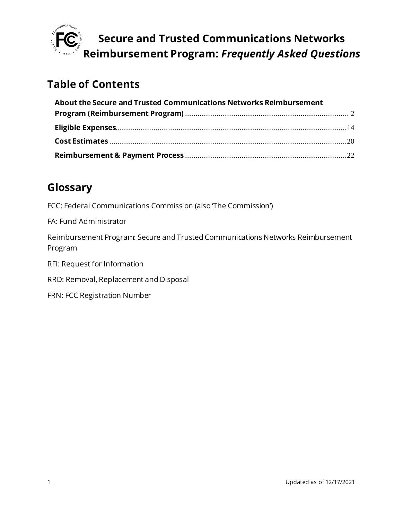

## **Table of Contents**

| About the Secure and Trusted Communications Networks Reimbursement |  |
|--------------------------------------------------------------------|--|
|                                                                    |  |
|                                                                    |  |
|                                                                    |  |
|                                                                    |  |

## **Glossary**

FCC: Federal Communications Commission (also The Commission')

FA: Fund Administrator

Reimbursement Program: Secure and Trusted Communications Networks Reimbursement Program

RFI: Request for Information

RRD: Removal, Replacement and Disposal

FRN: FCC Registration Number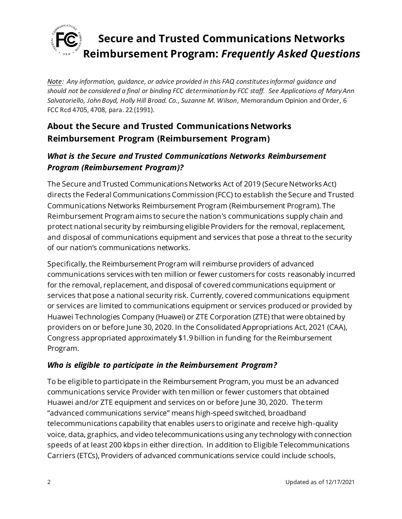

*Note: Any information, guidance, or advice provided in this FAQ constitutes informal guidance and should not be considered a final or binding FCC determination by FCC staff. See Applications of Mary Ann Salvatoriello, John Boyd, Holly Hill Broad. Co., Suzanne M. Wilson*, Memorandum Opinion and Order, 6 FCC Rcd 4705, 4708, para. 22 (1991).

## <span id="page-1-0"></span>**About the Secure and Trusted Communications Networks Reimbursement Program (Reimbursement Program)**

### *What is the Secure and Trusted Communications Networks Reimbursement Program (Reimbursement Program)?*

The Secure and Trusted Communications Networks Act of 2019 (Secure Networks Act) directs the Federal Communications Commission (FCC) to establish the Secure and Trusted Communications Networks Reimbursement Program (Reimbursement Program). The Reimbursement Program aims to secure the nation's communications supply chain and protect national security by reimbursing eligible Providers for the removal, replacement, and disposal of communications equipment and services that pose a threat to the security of our nation's communications networks.

Specifically, the Reimbursement Program will reimburse providers of advanced communications services with ten million or fewer customers for costs reasonably incurred for the removal, replacement, and disposal of covered communications equipment or services that pose a national security risk. Currently, covered communications equipment or services are limited to communications equipment or services produced or provided by Huawei Technologies Company (Huawei) or ZTE Corporation (ZTE) that were obtained by providers on or before June 30, 2020. In the Consolidated Appropriations Act, 2021 (CAA), Congress appropriated approximately \$1.9 billion in funding for the Reimbursement Program.

### *Who is eligible to participate in the Reimbursement Program?*

To be eligible to participate in the Reimbursement Program, you must be an advanced communications service Provider with ten million or fewer customers that obtained Huawei and/or ZTE equipment and services on or before June 30, 2020. The term "advanced communications service" means high-speed switched, broadband telecommunications capability that enables users to originate and receive high-quality voice, data, graphics, and video telecommunications using any technology with connection speeds of at least 200 kbps in either direction. In addition to Eligible Telecommunications Carriers (ETCs), Providers of advanced communications service could include schools,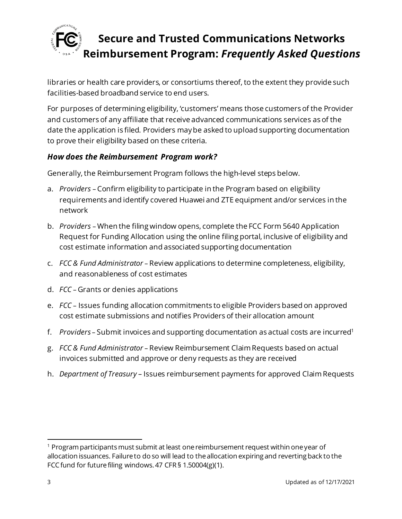

libraries or health care providers, or consortiums thereof, to the extent they provide such facilities-based broadband service to end users.

For purposes of determining eligibility, 'customers' means those customers of the Provider and customers of any affiliate that receive advanced communications services as of the date the application is filed. Providers may be asked to upload supporting documentation to prove their eligibility based on these criteria.

#### *How does the Reimbursement Program work?*

Generally, the Reimbursement Program follows the high-level steps below.

- a. *Providers* Confirm eligibility to participate in the Program based on eligibility requirements and identify covered Huawei and ZTE equipment and/or services in the network
- b. *Providers*  When the filing window opens, complete the FCC Form 5640 Application Request for Funding Allocation using the online filing portal, inclusive of eligibility and cost estimate information and associated supporting documentation
- c. *FCC & Fund Administrator* Review applications to determine completeness, eligibility, and reasonableness of cost estimates
- d. *FCC* Grants or denies applications
- e. *FCC* Issues funding allocation commitments to eligible Providers based on approved cost estimate submissions and notifies Providers of their allocation amount
- f. *Providers* Submit invoices and supporting documentation as actual costs are incurred<sup>1</sup>
- g. *FCC & Fund Administrator* Review Reimbursement ClaimRequests based on actual invoices submitted and approve or deny requests as they are received
- h. *Department of Treasury* Issues reimbursement payments for approved ClaimRequests

 $1$  Program participants must submit at least one reimbursement request within one year of allocation issuances. Failure to do so will lead to the allocation expiring and reverting back to the FCC fund for future filing windows. 47 CFR § 1.50004(g)(1).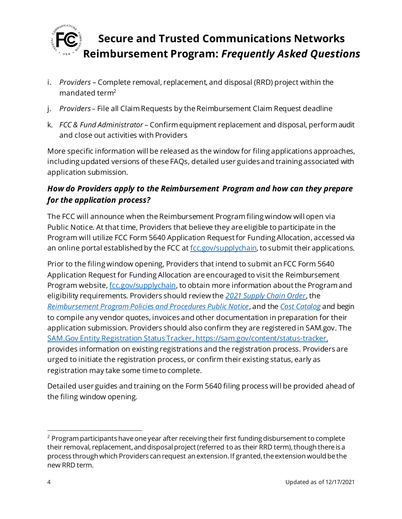

- i. *Providers –* Complete removal, replacement, and disposal (RRD) project within the mandated term<sup>2</sup>
- j. *Providers* File all Claim Requests by the Reimbursement Claim Request deadline
- k. *FCC & Fund Administrator* Confirm equipment replacement and disposal, perform audit and close out activities with Providers

More specific information will be released as the window for filing applications approaches, including updated versions of these FAQs, detailed user guides and training associated with application submission.

### *How do Providers apply to the Reimbursement Program and how can they prepare for the application process?*

The FCC will announce when the Reimbursement Program filing window will open via Public Notice. At that time, Providers that believe they are eligible to participate in the Program will utilize FCC Form 5640 Application Request for Funding Allocation, accessed via an online portal established by the FCC a[t fcc.gov/supplychain,](https://www.fcc.gov/supplychain) to submit their applications.

Prior to the filing window opening, Providers that intend to submit an FCC Form 5640 Application Request for Funding Allocation are encouraged to visit the Reimbursement Program website[, fcc.gov/supplychain](https://www.fcc.gov/supplychain), to obtain more information about the Program and eligibility requirements. Providers should review the *[2021 Supply Chain Order](https://www.fcc.gov/document/fcc-acts-protect-national-security-communications-supply-chain-0)*, the *[Reimbursement Program Policies and Procedures Public Notice](https://www.fcc.gov/document/fcc-announces-final-supply-chain-reimbursement-program-procedures)*, and the *[Cost Catalog](https://docs.fcc.gov/public/attachments/DA-21-947A4.pdf)* and begin to compile any vendor quotes, invoices and other documentation in preparation for their application submission. Providers should also confirm they are registered in SAM.gov. The [SAM.Gov Entity Registration Status Tracker](https://sam.gov/content/status-tracker), https://sam.gov/content/status-tracker, provides information on existing registrations and the registration process. Providers are urged to initiate the registration process, or confirm their existing status, early as registration may take some time to complete.

Detailed user guides and training on the Form 5640 filing process will be provided ahead of the filing window opening.

 $2$  Program participants have one year after receiving their first funding disbursement to complete their removal, replacement, and disposal project (referred to as their RRD term), though there is a process through which Providers can request an extension. If granted, the extension would be the new RRD term.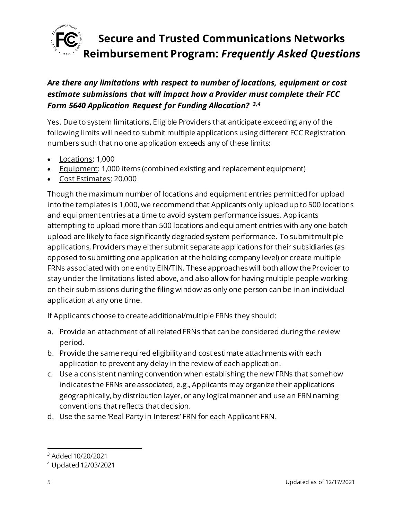

### *Are there any limitations with respect to number of locations, equipment or cost estimate submissions that will impact how a Provider must complete their FCC Form 5640 Application Request for Funding Allocation? 3,4*

Yes. Due to system limitations, Eligible Providers that anticipate exceeding any of the following limits will need to submit multiple applications using different FCC Registration numbers such that no one application exceeds any of these limits:

- Locations: 1,000
- Equipment: 1,000 items (combined existing and replacement equipment)
- Cost Estimates: 20,000

Though the maximum number of locations and equipment entries permitted for upload into the templates is 1,000, we recommend that Applicants only upload up to 500 locations and equipment entries at a time to avoid system performance issues. Applicants attempting to upload more than 500 locations and equipment entries with any one batch upload are likely to face significantly degraded system performance. To submit multiple applications, Providers may either submit separate applications for their subsidiaries (as opposed to submitting one application at the holding company level) or create multiple FRNs associated with one entity EIN/TIN. These approaches will both allow the Provider to stay under the limitations listed above, and also allow for having multiple people working on their submissions during the filing window as only one person can be in an individual application at any one time.

If Applicants choose to create additional/multiple FRNs they should:

- a. Provide an attachment of all related FRNs that can be considered during the review period.
- b. Provide the same required eligibility and cost estimate attachments with each application to prevent any delay in the review of each application.
- c. Use a consistent naming convention when establishing the new FRNs that somehow indicates the FRNs are associated, e.g., Applicants may organize their applications geographically, by distribution layer, or any logical manner and use an FRN naming conventions that reflects that decision.
- d. Use the same 'Real Party in Interest' FRN for each Applicant FRN.

<sup>3</sup> Added 10/20/2021

<sup>4</sup> Updated 12/03/2021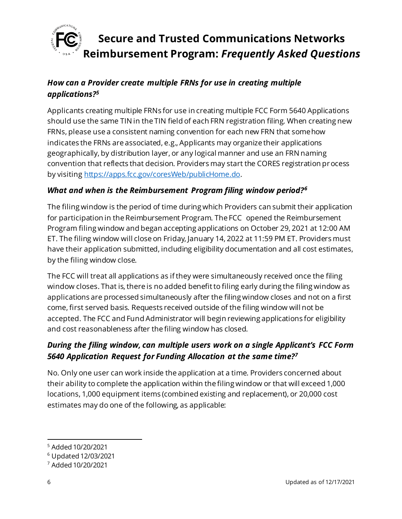

### *How can a Provider create multiple FRNs for use in creating multiple applications?<sup>5</sup>*

Applicants creating multiple FRNs for use in creating multiple FCC Form 5640 Applications should use the same TIN in the TIN field of each FRN registration filing. When creating new FRNs, please use a consistent naming convention for each new FRN that somehow indicates the FRNs are associated, e.g., Applicants may organize their applications geographically, by distribution layer, or any logical manner and use an FRN naming convention that reflects that decision. Providers may start the CORES registration process by visitin[g https://apps.fcc.gov/coresWeb/publicHome.do](https://apps.fcc.gov/coresWeb/publicHome.do).

#### *What and when is the Reimbursement Program filing window period?<sup>6</sup>*

The filing window is the period of time during which Providers can submit their application for participation in the Reimbursement Program. The FCC opened the Reimbursement Program filing window and began accepting applications on October 29, 2021 at 12:00 AM ET. The filing window will close on Friday, January 14, 2022 at 11:59 PM ET. Providers must have their application submitted, including eligibility documentation and all cost estimates, by the filing window close.

The FCC will treat all applications as if they were simultaneously received once the filing window closes. That is, there is no added benefit to filing early during the filing window as applications are processed simultaneously after the filing window closes and not on a first come, first served basis. Requests received outside of the filing window will not be accepted. The FCC and Fund Administrator will begin reviewing applications for eligibility and cost reasonableness after the filing window has closed.

### *During the filing window, can multiple users work on a single Applicant's FCC Form 5640 Application Request for Funding Allocation at the same time?<sup>7</sup>*

No. Only one user can work inside the application at a time. Providers concerned about their ability to complete the application within the filing window or that will exceed 1,000 locations, 1,000 equipment items (combined existing and replacement), or 20,000 cost estimates may do one of the following, as applicable:

<sup>5</sup> Added 10/20/2021

<sup>6</sup> Updated 12/03/2021

<sup>7</sup> Added 10/20/2021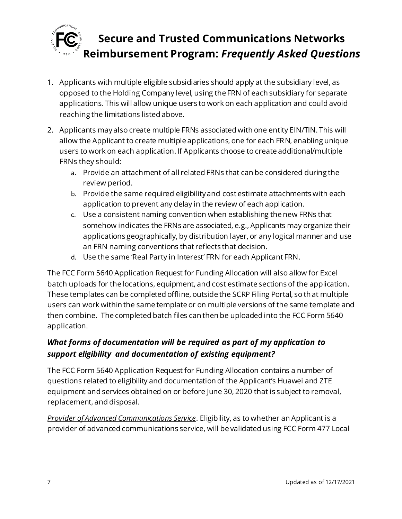

- 1. Applicants with multiple eligible subsidiaries should apply at the subsidiary level, as opposed to the Holding Company level, using the FRN of each subsidiary for separate applications. This will allow unique users to work on each application and could avoid reaching the limitations listed above.
- 2. Applicants may also create multiple FRNs associated with one entity EIN/TIN. This will allow the Applicant to create multiple applications, one for each FRN, enabling unique users to work on each application. If Applicants choose to create additional/multiple FRNs they should:
	- a. Provide an attachment of all related FRNs that can be considered during the review period.
	- b. Provide the same required eligibility and cost estimate attachments with each application to prevent any delay in the review of each application.
	- c. Use a consistent naming convention when establishing the new FRNs that somehow indicates the FRNs are associated, e.g., Applicants may organize their applications geographically, by distribution layer, or any logical manner and use an FRN naming conventions that reflects that decision.
	- d. Use the same 'Real Party in Interest' FRN for each Applicant FRN.

The FCC Form 5640 Application Request for Funding Allocation will also allow for Excel batch uploads for the locations, equipment, and cost estimate sections of the application. These templates can be completed offline, outside the SCRP Filing Portal, so that multiple users can work within the same template or on multiple versions of the same template and then combine. The completed batch files can then be uploaded into the FCC Form 5640 application.

### *What forms of documentation will be required as part of my application to support eligibility and documentation of existing equipment?*

The FCC Form 5640 Application Request for Funding Allocation contains a number of questions related to eligibility and documentation of the Applicant's Huawei and ZTE equipment and services obtained on or before June 30, 2020 that is subject to removal, replacement, and disposal.

*Provider of Advanced Communications Service*. Eligibility, as to whether an Applicant is a provider of advanced communications service, will be validated using FCC Form 477 Local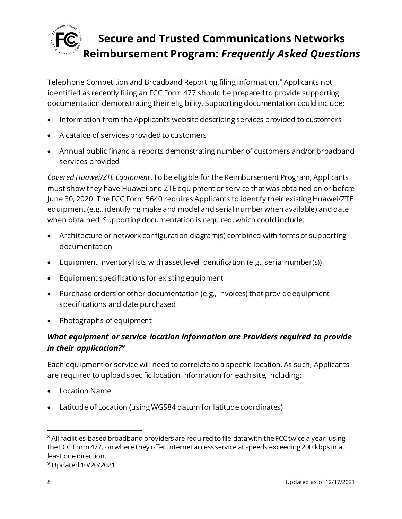

Telephone Competition and Broadband Reporting filing information.<sup>8</sup> Applicants not identified as recently filing an FCC Form 477 should be prepared to provide supporting documentation demonstrating their eligibility. Supporting documentation could include:

- Information from the Applicant's website describing services provided to customers
- A catalog of services provided to customers
- Annual public financial reports demonstrating number of customers and/or broadband services provided

*Covered Huawei/ZTE Equipment*. To be eligible for the Reimbursement Program, Applicants must show they have Huawei and ZTE equipment or service that was obtained on or before June 30, 2020. The FCC Form 5640 requires Applicants to identify their existing Huawei/ZTE equipment (e.g., identifying make and model and serial number when available) and date when obtained. Supporting documentation is required, which could include:

- Architecture or network configuration diagram(s) combined with forms of supporting documentation
- Equipment inventory lists with asset level identification (e.g., serial number(s))
- Equipment specifications for existing equipment
- Purchase orders or other documentation (e.g., invoices) that provide equipment specifications and date purchased
- Photographs of equipment

### *What equipment or service location information are Providers required to provide in their application?<sup>9</sup>*

Each equipment or service will need to correlate to a specific location. As such, Applicants are required to upload specific location information for each site, including:

- Location Name
- Latitude of Location (using WGS84 datum for latitude coordinates)

<sup>&</sup>lt;sup>8</sup> All facilities-based broadband providers are required to file data with the FCC twice a year, using the FCC Form 477, on where they offer Internet access service at speeds exceeding 200 kbps in at least one direction.

<sup>9</sup> Updated 10/20/2021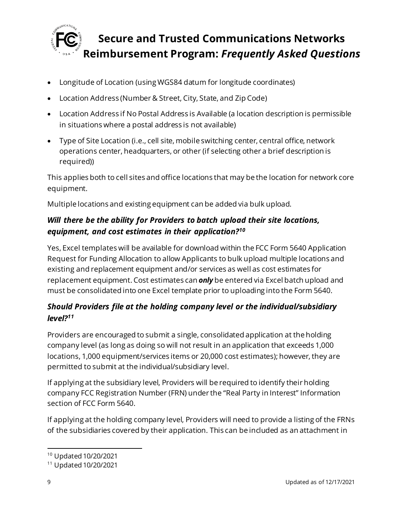

- Longitude of Location (using WGS84 datum for longitude coordinates)
- Location Address (Number & Street, City, State, and Zip Code)
- Location Address if No Postal Address is Available (a location description is permissible in situations where a postal address is not available)
- Type of Site Location (i.e., cell site, mobile switching center, central office, network operations center, headquarters, or other (if selecting other a brief description is required))

This applies both to cell sites and office locations that may be the location for network core equipment.

Multiple locations and existing equipment can be added via bulk upload.

## *Will there be the ability for Providers to batch upload their site locations, equipment, and cost estimates in their application?<sup>10</sup>*

Yes, Excel templates will be available for download within the FCC Form 5640 Application Request for Funding Allocation to allow Applicants to bulk upload multiple locations and existing and replacement equipment and/or services as well as cost estimates for replacement equipment. Cost estimates can *only* be entered via Excel batch upload and must be consolidated into one Excel template prior to uploading into the Form 5640.

### *Should Providers file at the holding company level or the individual/subsidiary level?<sup>11</sup>*

Providers are encouraged to submit a single, consolidated application at the holding company level (as long as doing so will not result in an application that exceeds 1,000 locations, 1,000 equipment/services items or 20,000 cost estimates); however, they are permitted to submit at the individual/subsidiary level.

If applying at the subsidiary level, Providers will be required to identify their holding company FCC Registration Number (FRN) under the "Real Party in Interest" Information section of FCC Form 5640.

If applying at the holding company level, Providers will need to provide a listing of the FRNs of the subsidiaries covered by their application. This can be included as an attachment in

<sup>10</sup> Updated 10/20/2021

<sup>11</sup> Updated 10/20/2021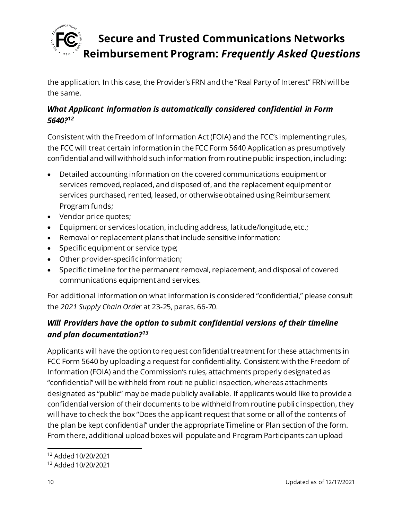

the application. In this case, the Provider's FRN and the "Real Party of Interest" FRN will be the same.

### *What Applicant information is automatically considered confidential in Form 5640?<sup>12</sup>*

Consistent with the Freedom of Information Act (FOIA) and the FCC's implementing rules, the FCC will treat certain information in the FCC Form 5640 Application as presumptively confidential and will withhold such information from routine public inspection, including:

- Detailed accounting information on the covered communications equipment or services removed, replaced, and disposed of, and the replacement equipment or services purchased, rented, leased, or otherwise obtained using Reimbursement Program funds;
- Vendor price quotes;
- Equipment or services location, including address, latitude/longitude, etc.;
- Removal or replacement plans that include sensitive information;
- Specific equipment or service type;
- Other provider-specific information;
- Specific timeline for the permanent removal, replacement, and disposal of covered communications equipment and services.

For additional information on what information is considered "confidential," please consult the *2021 Supply Chain Order* at 23-25, paras. 66-70.

## *Will Providers have the option to submit confidential versions of their timeline and plan documentation?<sup>13</sup>*

Applicants will have the option to request confidential treatment for these attachments in FCC Form 5640 by uploading a request for confidentiality. Consistent with the Freedom of Information (FOIA) and the Commission's rules, attachments properly designated as "confidential" will be withheld from routine public inspection, whereas attachments designated as "public" may be made publicly available. If applicants would like to provide a confidential version of their documents to be withheld from routine publi c inspection, they will have to check the box "Does the applicant request that some or all of the contents of the plan be kept confidential" under the appropriate Timeline or Plan section of the form. From there, additional upload boxes will populate and Program Participants can upload

<sup>12</sup> Added 10/20/2021

<sup>13</sup> Added 10/20/2021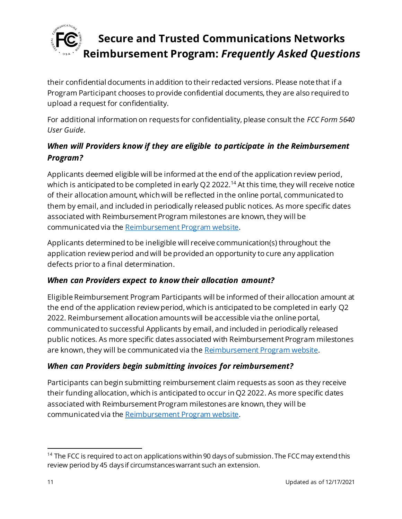

their confidential documents in addition to their redacted versions. Please note that if a Program Participant chooses to provide confidential documents, they are also required to upload a request for confidentiality.

For additional information on requests for confidentiality, please consult the *FCC Form 5640 User Guide*.

### *When will Providers know if they are eligible to participate in the Reimbursement Program?*

Applicants deemed eligible will be informed at the end of the application review period, which is anticipated to be completed in early Q2 2022.<sup>14</sup> At this time, they will receive notice of their allocation amount, which will be reflected in the online portal, communicated to them by email, and included in periodically released public notices. As more specific dates associated with Reimbursement Program milestones are known, they will be communicated via th[e Reimbursement Program website](https://www.fcc.gov/supplychain).

Applicants determined to be ineligible will receive communication(s) throughout the application review period and will be provided an opportunity to cure any application defects prior to a final determination.

### *When can Providers expect to know their allocation amount?*

Eligible Reimbursement Program Participants will be informed of their allocation amount at the end of the application review period, which is anticipated to be completed in early Q2 2022. Reimbursement allocation amounts will be accessible via the online portal, communicated to successful Applicants by email, and included in periodically released public notices. As more specific dates associated with Reimbursement Program milestones are known, they will be communicated via th[e Reimbursement Program website](https://www.fcc.gov/supplychain).

### *When can Providers begin submitting invoices for reimbursement?*

Participants can begin submitting reimbursement claim requests as soon as they receive their funding allocation, which is anticipated to occur in Q2 2022. As more specific dates associated with Reimbursement Program milestones are known, they will be communicated via th[e Reimbursement Program website](https://www.fcc.gov/supplychain).

<sup>&</sup>lt;sup>14</sup> The FCC is required to act on applications within 90 days of submission. The FCC may extend this review period by 45 days if circumstances warrant such an extension.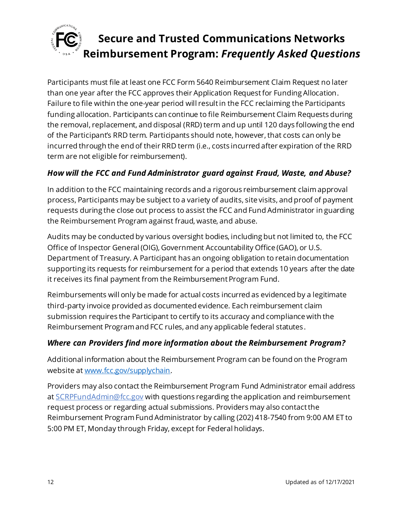

Participants must file at least one FCC Form 5640 Reimbursement Claim Request no later than one year after the FCC approves their Application Request for Funding Allocation. Failure to file within the one-year period will result in the FCC reclaiming the Participants funding allocation. Participants can continue to file Reimbursement Claim Requests during the removal, replacement, and disposal (RRD) term and up until 120 days following the end of the Participant's RRD term. Participants should note, however, that costs can only be incurred through the end of their RRD term (i.e., costs incurred after expiration of the RRD term are not eligible for reimbursement).

### *How will the FCC and Fund Administrator guard against Fraud, Waste, and Abuse?*

In addition to the FCC maintaining records and a rigorous reimbursement claim approval process, Participants may be subject to a variety of audits, site visits, and proof of payment requests during the close out process to assist the FCC and Fund Administrator in guarding the Reimbursement Program against fraud, waste, and abuse.

Audits may be conducted by various oversight bodies, including but not limited to, the FCC Office of Inspector General (OIG), Government Accountability Office (GAO), or U.S. Department of Treasury. A Participant has an ongoing obligation to retain documentation supporting its requests for reimbursement for a period that extends 10 years after the date it receives its final payment from the Reimbursement Program Fund.

Reimbursements will only be made for actual costs incurred as evidenced by a legitimate third-party invoice provided as documented evidence. Each reimbursement claim submission requires the Participant to certify to its accuracy and compliance with the Reimbursement Program and FCC rules, and any applicable federal statutes.

### *Where can Providers find more information about the Reimbursement Program?*

Additional information about the Reimbursement Program can be found on the Program website a[t www.fcc.gov/supplychain](http://www.fcc.gov/supplychain).

Providers may also contact the Reimbursement Program Fund Administrator email address at [SCRPFundAdmin@fcc.gov](mailto:SCRPFundAdmin@fcc.gov) with questions regarding the application and reimbursement request process or regarding actual submissions. Providers may also contact the Reimbursement Program Fund Administrator by calling (202) 418-7540 from 9:00 AM ET to 5:00 PM ET, Monday through Friday, except for Federal holidays.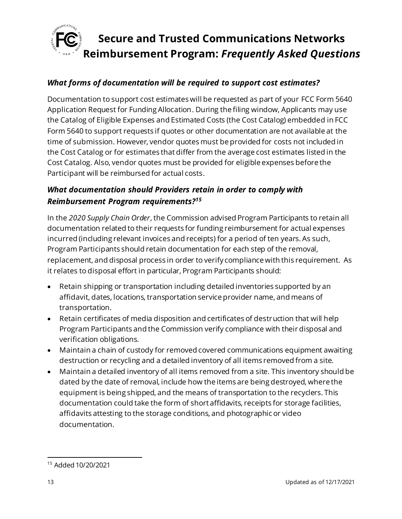

#### *What forms of documentation will be required to support cost estimates?*

Documentation to support cost estimates will be requested as part of your FCC Form 5640 Application Request for Funding Allocation. During the filing window, Applicants may use the Catalog of Eligible Expenses and Estimated Costs (the Cost Catalog) embedded in FCC Form 5640 to support requests if quotes or other documentation are not available at the time of submission. However, vendor quotes must be provided for costs not included in the Cost Catalog or for estimates that differ from the average cost estimates listed in the Cost Catalog. Also, vendor quotes must be provided for eligible expenses before the Participant will be reimbursed for actual costs.

#### *What documentation should Providers retain in order to comply with Reimbursement Program requirements?<sup>15</sup>*

In the *2020 Supply Chain Order*, the Commission advised Program Participants to retain all documentation related to their requests for funding reimbursement for actual expenses incurred (including relevant invoices and receipts) for a period of ten years. As such, Program Participants should retain documentation for each step of the removal, replacement, and disposal process in order to verify compliance with this requirement. As it relates to disposal effort in particular, Program Participants should:

- Retain shipping or transportation including detailed inventories supported by an affidavit, dates, locations, transportation service provider name, and means of transportation.
- Retain certificates of media disposition and certificates of destruction that will help Program Participants and the Commission verify compliance with their disposal and verification obligations.
- Maintain a chain of custody for removed covered communications equipment awaiting destruction or recycling and a detailed inventory of all items removed from a site.
- Maintain a detailed inventory of all items removed from a site. This inventory should be dated by the date of removal, include how the items are being destroyed, where the equipment is being shipped, and the means of transportation to the recyclers. This documentation could take the form of short affidavits, receipts for storage facilities, affidavits attesting to the storage conditions, and photographic or video documentation.

<sup>15</sup> Added 10/20/2021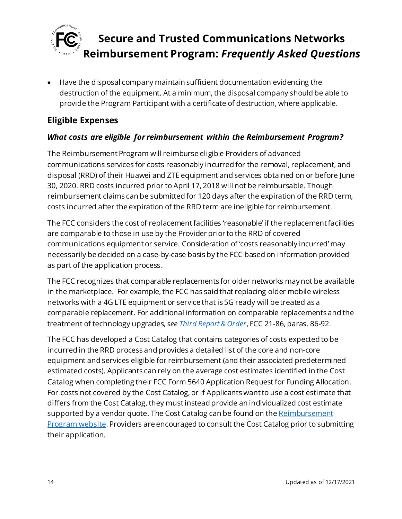

• Have the disposal company maintain sufficient documentation evidencing the destruction of the equipment. At a minimum, the disposal company should be able to provide the Program Participant with a certificate of destruction, where applicable.

### <span id="page-13-0"></span>**Eligible Expenses**

### *What costs are eligible for reimbursement within the Reimbursement Program?*

The Reimbursement Program will reimburse eligible Providers of advanced communications services for costs reasonably incurred for the removal, replacement, and disposal (RRD) of their Huawei and ZTE equipment and services obtained on or before June 30, 2020. RRD costs incurred prior to April 17, 2018 will not be reimbursable. Though reimbursement claims can be submitted for 120 days after the expiration of the RRD term, costs incurred after the expiration of the RRD term are ineligible for reimbursement.

The FCC considers the cost of replacement facilities 'reasonable' if the replacement facilities are comparable to those in use by the Provider prior to the RRD of covered communications equipment or service. Consideration of 'costs reasonably incurred' may necessarily be decided on a case-by-case basis by the FCC based on information provided as part of the application process.

The FCC recognizes that comparable replacements for older networks may not be available in the marketplace. For example, the FCC has said that replacing older mobile wireless networks with a 4G LTE equipment or service that is 5G ready will be treated as a comparable replacement. For additional information on comparable replacements and the treatment of technology upgrades, *se[e Third Report & Order](https://www.fcc.gov/document/fcc-acts-protect-national-security-communications-supply-chain-0)*, FCC 21-86, paras. 86-92.

The FCC has developed a Cost Catalog that contains categories of costs expected to be incurred in the RRD process and provides a detailed list of the core and non-core equipment and services eligible for reimbursement (and their associated predetermined estimated costs). Applicants can rely on the average cost estimates identified in the Cost Catalog when completing their FCC Form 5640 Application Request for Funding Allocation. For costs not covered by the Cost Catalog, or if Applicants want to use a cost estimate that differs from the Cost Catalog, they mustinstead provide an individualized cost estimate supported by a vendor quote. The Cost Catalog can be found on the Reimbursement [Program website](https://www.fcc.gov/supplychain). Providers are encouraged to consult the Cost Catalog prior to submitting their application.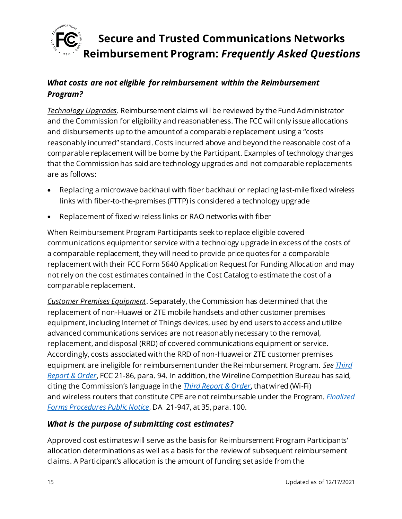

### *What costs are not eligible for reimbursement within the Reimbursement Program?*

*Technology Upgrades*. Reimbursement claims will be reviewed by the Fund Administrator and the Commission for eligibility and reasonableness. The FCC will only issue allocations and disbursements up to the amount of a comparable replacement using a "costs reasonably incurred" standard. Costs incurred above and beyond the reasonable cost of a comparable replacement will be borne by the Participant. Examples of technology changes that the Commission has said are technology upgrades and not comparable replacements are as follows:

- Replacing a microwave backhaul with fiber backhaul or replacing last-mile fixed wireless links with fiber-to-the-premises (FTTP) is considered a technology upgrade
- Replacement of fixed wireless links or RAO networks with fiber

When Reimbursement Program Participants seek to replace eligible covered communications equipment or service with a technology upgrade in excess of the costs of a comparable replacement, they will need to provide price quotes for a comparable replacement with their FCC Form 5640 Application Request for Funding Allocation and may not rely on the cost estimates contained in the Cost Catalog to estimate the cost of a comparable replacement.

*Customer Premises Equipment*. Separately, the Commission has determined that the replacement of non-Huawei or ZTE mobile handsets and other customer premises equipment, including Internet of Things devices, used by end users to access and utilize advanced communications services are not reasonably necessary to the removal, replacement, and disposal (RRD) of covered communications equipment or service. Accordingly, costs associated with the RRD of non-Huawei or ZTE customer premises equipment are ineligible for reimbursement under the Reimbursement Program. *Se[e Third](https://www.fcc.gov/document/fcc-acts-protect-national-security-communications-supply-chain-0)  [Report & Order](https://www.fcc.gov/document/fcc-acts-protect-national-security-communications-supply-chain-0)*, FCC 21-86, para. 94. In addition, the Wireline Competition Bureau has said, citing the Commission's language in the *[Third Report & Order](https://www.fcc.gov/document/fcc-acts-protect-national-security-communications-supply-chain-0)*, that wired (Wi-Fi) and wireless routers that constitute CPE are not reimbursable under the Program. *[Finalized](https://www.fcc.gov/document/fcc-announces-final-supply-chain-reimbursement-program-procedures)  [Forms Procedures Public Notice](https://www.fcc.gov/document/fcc-announces-final-supply-chain-reimbursement-program-procedures)*, DA 21-947, at 35, para. 100.

#### *What is the purpose of submitting cost estimates?*

Approved cost estimates will serve as the basis for Reimbursement Program Participants' allocation determinations as well as a basis for the review of subsequent reimbursement claims. A Participant's allocation is the amount of funding set aside from the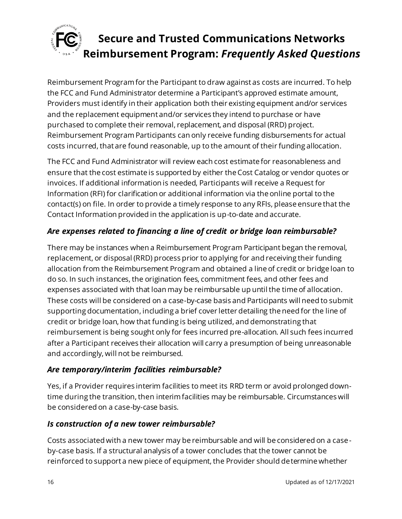

Reimbursement Program for the Participant to draw against as costs are incurred. To help the FCC and Fund Administrator determine a Participant's approved estimate amount, Providers must identify in their application both their existing equipment and/or services and the replacement equipment and/or services they intend to purchase or have purchased to complete their removal, replacement, and disposal (RRD) project. Reimbursement Program Participants can only receive funding disbursements for actual costs incurred, that are found reasonable, up to the amount of their funding allocation.

The FCC and Fund Administrator will review each cost estimate for reasonableness and ensure that the cost estimate is supported by either the Cost Catalog or vendor quotes or invoices. If additional information is needed, Participants will receive a Request for Information (RFI) for clarification or additional information via the online portal to the contact(s) on file. In order to provide a timely response to any RFIs, please ensure that the Contact Information provided in the application is up-to-date and accurate.

### *Are expenses related to financing a line of credit or bridge loan reimbursable?*

There may be instances when a Reimbursement Program Participant began the removal, replacement, or disposal (RRD) process prior to applying for and receiving their funding allocation from the Reimbursement Program and obtained a line of credit or bridge loan to do so. In such instances, the origination fees, commitment fees, and other fees and expenses associated with that loan may be reimbursable up until the time of allocation. These costs will be considered on a case-by-case basis and Participants will need to submit supporting documentation, including a brief cover letter detailing the need for the line of credit or bridge loan, how that funding is being utilized, and demonstrating that reimbursement is being sought only for fees incurred pre-allocation. All such fees incurred after a Participant receives their allocation will carry a presumption of being unreasonable and accordingly, will not be reimbursed.

### *Are temporary/interim facilities reimbursable?*

Yes, if a Provider requires interim facilities to meet its RRD term or avoid prolonged downtime during the transition, then interim facilities may be reimbursable. Circumstances will be considered on a case-by-case basis.

### *Is construction of a new tower reimbursable?*

Costs associated with a new tower may be reimbursable and will be considered on a caseby-case basis. If a structural analysis of a tower concludes that the tower cannot be reinforced to support a new piece of equipment, the Provider should determine whether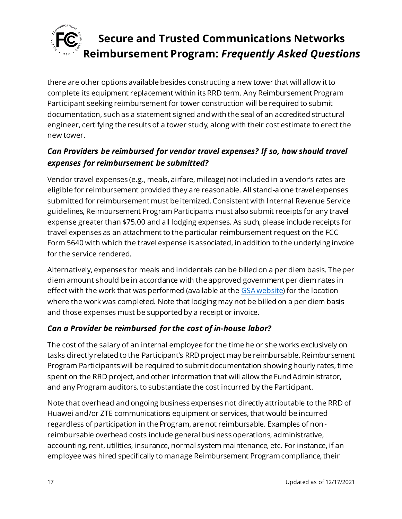

there are other options available besides constructing a new tower that will allow it to complete its equipment replacement within its RRD term. Any Reimbursement Program Participant seeking reimbursement for tower construction will be required to submit documentation, such as a statement signed and with the seal of an accredited structural engineer, certifying the results of a tower study, along with their cost estimate to erect the new tower.

### *Can Providers be reimbursed for vendor travel expenses? If so, how should travel expenses for reimbursement be submitted?*

Vendor travel expenses (e.g., meals, airfare, mileage) not included in a vendor's rates are eligible for reimbursement provided they are reasonable. All stand-alone travel expenses submitted for reimbursement must be itemized. Consistent with Internal Revenue Service guidelines, Reimbursement Program Participants must also submit receipts for any travel expense greater than \$75.00 and all lodging expenses. As such, please include receipts for travel expenses as an attachment to the particular reimbursement request on the FCC Form 5640 with which the travel expense is associated, in addition to the underlying invoice for the service rendered.

Alternatively, expenses for meals and incidentals can be billed on a per diem basis. The per diem amount should be in accordance with the approved government per diem rates in effect with the work that was performed (available at th[e GSA website\)](https://www.gsa.gov/travel/plan-book/per-diem-rates) for the location where the work was completed. Note that lodging may not be billed on a per diem basis and those expenses must be supported by a receipt or invoice.

### *Can a Provider be reimbursed for the cost of in-house labor?*

The cost of the salary of an internal employee for the time he or she works exclusively on tasks directly related to the Participant's RRD project may be reimbursable. Reimbursement Program Participants will be required to submit documentation showing hourly rates, time spent on the RRD project, and other information that will allow the Fund Administrator, and any Program auditors, to substantiate the cost incurred by the Participant.

Note that overhead and ongoing business expenses not directly attributable to the RRD of Huawei and/or ZTE communications equipment or services, that would be incurred regardless of participation in the Program, are not reimbursable. Examples of nonreimbursable overhead costs include general business operations, administrative, accounting, rent, utilities, insurance, normal system maintenance, etc. For instance, if an employee was hired specifically to manage Reimbursement Program compliance, their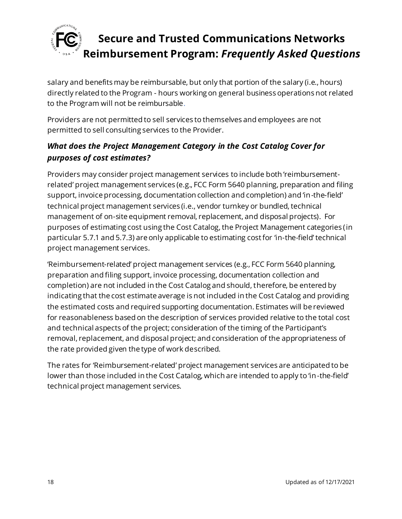

salary and benefits may be reimbursable, but only that portion of the salary (i.e., hours) directly related to the Program - hours working on general business operations not related to the Program will not be reimbursable.

Providers are not permitted to sell services to themselves and employees are not permitted to sell consulting services to the Provider.

### *What does the Project Management Category in the Cost Catalog Cover for purposes of cost estimates?*

Providers may consider project management services to include both 'reimbursementrelated' project management services (e.g., FCC Form 5640 planning, preparation and filing support, invoice processing, documentation collection and completion) and 'in-the-field' technical project management services (i.e., vendor turnkey or bundled, technical management of on-site equipment removal, replacement, and disposal projects). For purposes of estimating cost using the Cost Catalog, the Project Management categories (in particular 5.7.1 and 5.7.3) are only applicable to estimating cost for 'in-the-field' technical project management services.

'Reimbursement-related' project management services (e.g., FCC Form 5640 planning, preparation and filing support, invoice processing, documentation collection and completion) are not included in the Cost Catalog and should, therefore, be entered by indicating that the cost estimate average is not included in the Cost Catalog and providing the estimated costs and required supporting documentation. Estimates will be reviewed for reasonableness based on the description of services provided relative to the total cost and technical aspects of the project; consideration of the timing of the Participant's removal, replacement, and disposal project; and consideration of the appropriateness of the rate provided given the type of work described.

The rates for 'Reimbursement-related' project management services are anticipated to be lower than those included in the Cost Catalog, which are intended to apply to 'in-the-field' technical project management services.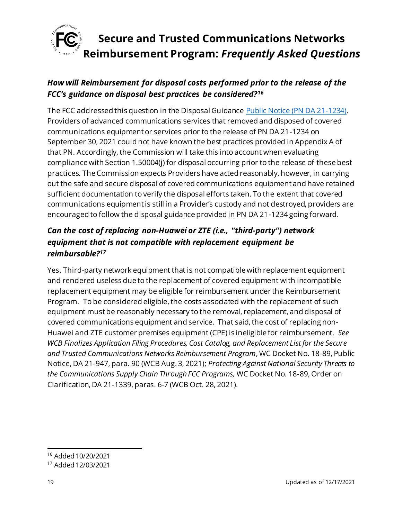

## *How will Reimbursement for disposal costs performed prior to the release of the FCC's guidance on disposal best practices be considered?<sup>16</sup>*

The FCC addressed this question in the Disposal Guidanc[e Public Notice \(PN DA 21-1234\)](https://docs.fcc.gov/public/attachments/DA-21-1234A1.pdf). Providers of advanced communications services that removed and disposed of covered communications equipment or services prior to the release of PN DA 21-1234 on September 30, 2021 could not have known the best practices provided in Appendix A of that PN. Accordingly, the Commission will take this into account when evaluating compliance with Section 1.50004(j) for disposal occurring prior to the release of these best practices. The Commission expects Providers have acted reasonably, however, in carrying out the safe and secure disposal of covered communications equipment and have retained sufficient documentation to verify the disposal efforts taken. To the extent that covered communications equipment is still in a Provider's custody and not destroyed, providers are encouraged to follow the disposal guidance provided in PN DA 21-1234 going forward.

### *Can the cost of replacing non-Huawei or ZTE (i.e., "third-party") network equipment that is not compatible with replacement equipment be reimbursable?<sup>17</sup>*

Yes. Third-party network equipment that is not compatible with replacement equipment and rendered useless due to the replacement of covered equipment with incompatible replacement equipment may be eligible for reimbursement under the Reimbursement Program. To be considered eligible, the costs associated with the replacement of such equipment must be reasonably necessary to the removal, replacement, and disposal of covered communications equipment and service. That said, the cost of replacing non-Huawei and ZTE customer premises equipment (CPE) is ineligible for reimbursement. *See WCB Finalizes Application Filing Procedures, Cost Catalog, and Replacement List for the Secure and Trusted Communications Networks Reimbursement Program*, WC Docket No. 18-89, Public Notice, DA 21-947, para. 90 (WCB Aug. 3, 2021); *Protecting Against National Security Threats to the Communications Supply Chain Through FCC Programs,* WC Docket No. 18-89, Order on Clarification, DA 21-1339, paras. 6-7 (WCB Oct. 28, 2021).

<sup>16</sup> Added 10/20/2021

<sup>17</sup> Added 12/03/2021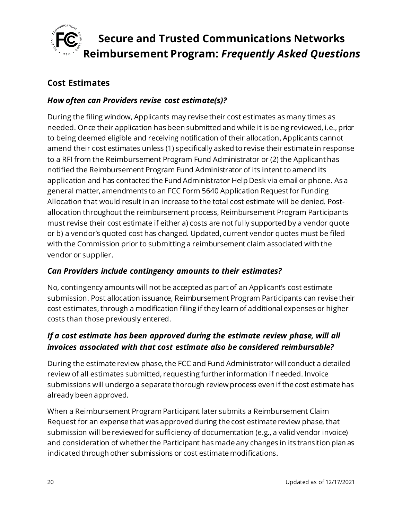

### <span id="page-19-0"></span>**Cost Estimates**

#### *How often can Providers revise cost estimate(s)?*

During the filing window, Applicants may revise their cost estimates as many times as needed. Once their application has been submitted and while it is being reviewed, i.e., prior to being deemed eligible and receiving notification of their allocation, Applicants cannot amend their cost estimates unless (1) specifically asked to revise their estimate in response to a RFI from the Reimbursement Program Fund Administrator or (2) the Applicant has notified the Reimbursement Program Fund Administrator of its intent to amend its application and has contacted the Fund Administrator Help Desk via email or phone. As a general matter, amendments to an FCC Form 5640 Application Request for Funding Allocation that would result in an increase to the total cost estimate will be denied. Postallocation throughout the reimbursement process, Reimbursement Program Participants must revise their cost estimate if either a) costs are not fully supported by a vendor quote or b) a vendor's quoted cost has changed. Updated, current vendor quotes must be filed with the Commission prior to submitting a reimbursement claim associated with the vendor or supplier.

#### *Can Providers include contingency amounts to their estimates?*

No, contingency amounts will not be accepted as part of an Applicant's cost estimate submission. Post allocation issuance, Reimbursement Program Participants can revise their cost estimates, through a modification filing if they learn of additional expenses or higher costs than those previously entered.

### *If a cost estimate has been approved during the estimate review phase, will all invoices associated with that cost estimate also be considered reimbursable?*

During the estimate review phase, the FCC and Fund Administrator will conduct a detailed review of all estimates submitted, requesting further information if needed. Invoice submissions will undergo a separate thorough review process even if the cost estimate has already been approved.

When a Reimbursement Program Participant later submits a Reimbursement Claim Request for an expense that was approved during the cost estimate review phase, that submission will be reviewed for sufficiency of documentation (e.g., a valid vendor invoice) and consideration of whether the Participant has made any changes in its transition plan as indicated through other submissions or cost estimate modifications.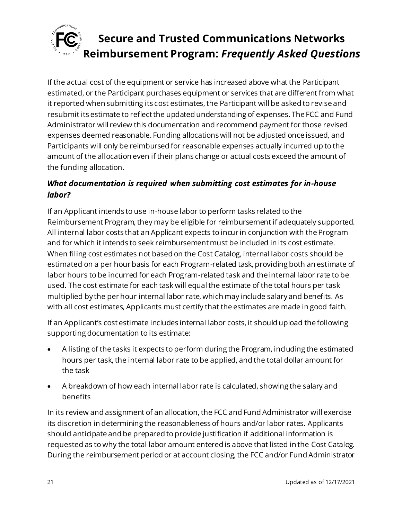

If the actual cost of the equipment or service has increased above what the Participant estimated, or the Participant purchases equipment or services that are different from what it reported when submitting its cost estimates, the Participant will be asked to revise and resubmit its estimate to reflect the updated understanding of expenses. The FCC and Fund Administrator will review this documentation and recommend payment for those revised expenses deemed reasonable. Funding allocations will not be adjusted once issued, and Participants will only be reimbursed for reasonable expenses actually incurred up to the amount of the allocation even if their plans change or actual costs exceed the amount of the funding allocation.

### *What documentation is required when submitting cost estimates for in-house labor?*

If an Applicant intends to use in-house labor to perform tasks related to the Reimbursement Program, they may be eligible for reimbursement if adequately supported. All internal labor costs that an Applicant expects to incur in conjunction with the Program and for which it intends to seek reimbursement must be included in its cost estimate. When filing cost estimates not based on the Cost Catalog, internal labor costs should be estimated on a per hour basis for each Program-related task, providing both an estimate of labor hours to be incurred for each Program-related task and the internal labor rate to be used. The cost estimate for each task will equal the estimate of the total hours per task multiplied by the per hour internal labor rate, which may include salary and benefits. As with all cost estimates, Applicants must certify that the estimates are made in good faith.

If an Applicant's cost estimate includes internal labor costs, it should upload the following supporting documentation to its estimate:

- A listing of the tasks it expects to perform during the Program, including the estimated hours per task, the internal labor rate to be applied, and the total dollar amount for the task
- A breakdown of how each internal labor rate is calculated, showing the salary and benefits

In its review and assignment of an allocation, the FCC and Fund Administrator will exercise its discretion in determining the reasonableness of hours and/or labor rates. Applicants should anticipate and be prepared to provide justification if additional information is requested as to why the total labor amount entered is above that listed in the Cost Catalog. During the reimbursement period or at account closing, the FCC and/or Fund Administrator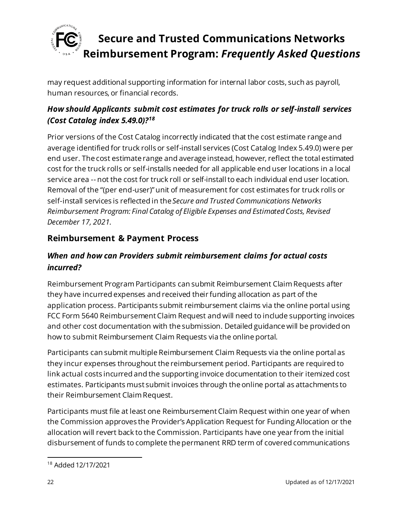

may request additional supporting information for internal labor costs, such as payroll, human resources, or financial records.

## *How should Applicants submit cost estimates for truck rolls or self-install services (Cost Catalog index 5.49.0)?<sup>18</sup>*

Prior versions of the Cost Catalog incorrectly indicated that the cost estimate range and average identified for truck rolls or self-install services (Cost Catalog Index 5.49.0) were per end user. The cost estimate range and average instead, however, reflect the total estimated cost for the truck rolls or self-installs needed for all applicable end user locations in a local service area -- not the cost for truck roll or self-install to each individual end user location. Removal of the "(per end-user)" unit of measurement for cost estimates for truck rolls or self-install services is reflected in the*Secure and Trusted Communications Networks Reimbursement Program: Final Catalog of Eligible Expenses and Estimated Costs, Revised December 17, 2021.*

### <span id="page-21-0"></span>**Reimbursement & Payment Process**

### *When and how can Providers submit reimbursement claims for actual costs incurred?*

Reimbursement Program Participants can submit Reimbursement Claim Requests after they have incurred expenses and received their funding allocation as part of the application process. Participants submit reimbursement claims via the online portal using FCC Form 5640 Reimbursement Claim Request and will need to include supporting invoices and other cost documentation with the submission. Detailed guidance will be provided on how to submit Reimbursement Claim Requests via the online portal.

Participants can submit multiple Reimbursement Claim Requests via the online portal as they incur expenses throughout the reimbursement period. Participants are required to link actual costs incurred and the supporting invoice documentation to their itemized cost estimates. Participants must submit invoices through the online portal as attachments to their Reimbursement Claim Request.

Participants must file at least one Reimbursement Claim Request within one year of when the Commission approves the Provider's Application Request for Funding Allocation or the allocation will revert back to the Commission. Participants have one year from the initial disbursement of funds to complete the permanent RRD term of covered communications

<sup>18</sup> Added 12/17/2021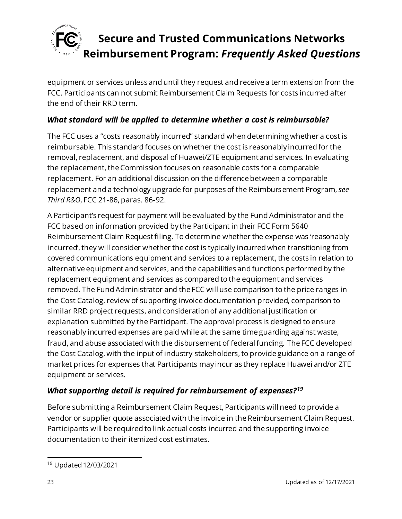

equipment or services unless and until they request and receive a term extension from the FCC. Participants can not submit Reimbursement Claim Requests for costs incurred after the end of their RRD term.

### *What standard will be applied to determine whether a cost is reimbursable?*

The FCC uses a "costs reasonably incurred" standard when determining whether a cost is reimbursable. This standard focuses on whether the cost is reasonably incurred for the removal, replacement, and disposal of Huawei/ZTE equipment and services. In evaluating the replacement, the Commission focuses on reasonable costs for a comparable replacement. For an additional discussion on the difference between a comparable replacement and a technology upgrade for purposes of the Reimbursement Program, *see Third R&O*, FCC 21-86, paras. 86-92.

A Participant's request for payment will be evaluated by the Fund Administrator and the FCC based on information provided by the Participant in their FCC Form 5640 Reimbursement Claim Request filing. To determine whether the expense was 'reasonably incurred', they will consider whether the cost is typically incurred when transitioning from covered communications equipment and services to a replacement, the costs in relation to alternative equipment and services, and the capabilities and functions performed by the replacement equipment and services as compared to the equipment and services removed. The Fund Administrator and the FCC will use comparison to the price ranges in the Cost Catalog, review of supporting invoice documentation provided, comparison to similar RRD project requests, and consideration of any additional justification or explanation submitted by the Participant. The approval process is designed to ensure reasonably incurred expenses are paid while at the same time guarding against waste, fraud, and abuse associated with the disbursement of federal funding. The FCC developed the Cost Catalog, with the input of industry stakeholders, to provide guidance on a range of market prices for expenses that Participants may incur as they replace Huawei and/or ZTE equipment or services.

### *What supporting detail is required for reimbursement of expenses?<sup>19</sup>*

Before submitting a Reimbursement Claim Request, Participants will need to provide a vendor or supplier quote associated with the invoice in the Reimbursement Claim Request. Participants will be required to link actual costs incurred and the supporting invoice documentation to their itemized cost estimates.

<sup>19</sup> Updated 12/03/2021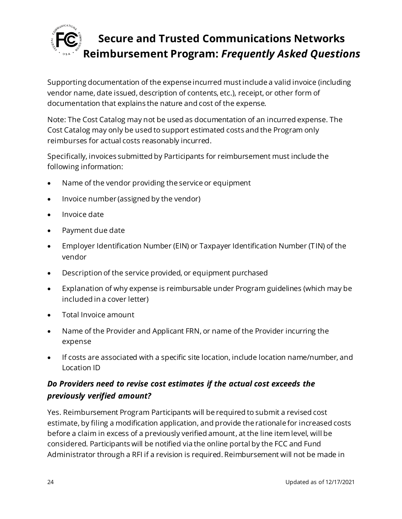

Supporting documentation of the expense incurred mustinclude a valid invoice (including vendor name, date issued, description of contents, etc.), receipt, or other form of documentation that explains the nature and cost of the expense.

Note: The Cost Catalog may not be used as documentation of an incurred expense. The Cost Catalog may only be used to support estimated costs and the Program only reimburses for actual costs reasonably incurred.

Specifically, invoices submitted by Participants for reimbursement must include the following information:

- Name of the vendor providing the service or equipment
- Invoice number (assigned by the vendor)
- Invoice date
- Payment due date
- Employer Identification Number (EIN) or Taxpayer Identification Number (TIN) of the vendor
- Description of the service provided, or equipment purchased
- Explanation of why expense is reimbursable under Program guidelines (which may be included in a cover letter)
- Total Invoice amount
- Name of the Provider and Applicant FRN, or name of the Provider incurring the expense
- If costs are associated with a specific site location, include location name/number, and Location ID

### *Do Providers need to revise cost estimates if the actual cost exceeds the previously verified amount?*

Yes. Reimbursement Program Participants will be required to submit a revised cost estimate, by filing a modification application, and provide the rationale for increased costs before a claim in excess of a previously verified amount, at the line item level, will be considered. Participants will be notified via the online portal by the FCC and Fund Administrator through a RFI if a revision is required. Reimbursement will not be made in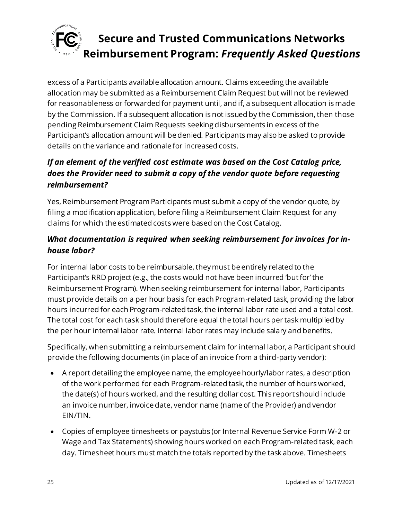

excess of a Participants available allocation amount. Claims exceeding the available allocation may be submitted as a Reimbursement Claim Request but will not be reviewed for reasonableness or forwarded for payment until, and if, a subsequent allocation is made by the Commission. If a subsequent allocation is not issued by the Commission, then those pending Reimbursement Claim Requests seeking disbursements in excess of the Participant's allocation amount will be denied. Participants may also be asked to provide details on the variance and rationale for increased costs.

## *If an element of the verified cost estimate was based on the Cost Catalog price, does the Provider need to submit a copy of the vendor quote before requesting reimbursement?*

Yes, Reimbursement Program Participants must submit a copy of the vendor quote, by filing a modification application, before filing a Reimbursement Claim Request for any claims for which the estimated costs were based on the Cost Catalog.

## *What documentation is required when seeking reimbursement for invoices for inhouse labor?*

For internal labor costs to be reimbursable, they must be entirely related to the Participant's RRD project (e.g., the costs would not have been incurred 'but for' the Reimbursement Program). When seeking reimbursement for internal labor, Participants must provide details on a per hour basis for each Program-related task, providing the labor hours incurred for each Program-related task, the internal labor rate used and a total cost. The total cost for each task should therefore equal the total hours per task multiplied by the per hour internal labor rate. Internal labor rates may include salary and benefits.

Specifically, when submitting a reimbursement claim for internal labor, a Participant should provide the following documents (in place of an invoice from a third-party vendor):

- A report detailing the employee name, the employee hourly/labor rates, a description of the work performed for each Program-related task, the number of hours worked, the date(s) of hours worked, and the resulting dollar cost. This report should include an invoice number, invoice date, vendor name (name of the Provider) and vendor EIN/TIN.
- Copies of employee timesheets or paystubs (or Internal Revenue Service Form W-2 or Wage and Tax Statements) showing hours worked on each Program-related task, each day. Timesheet hours must match the totals reported by the task above. Timesheets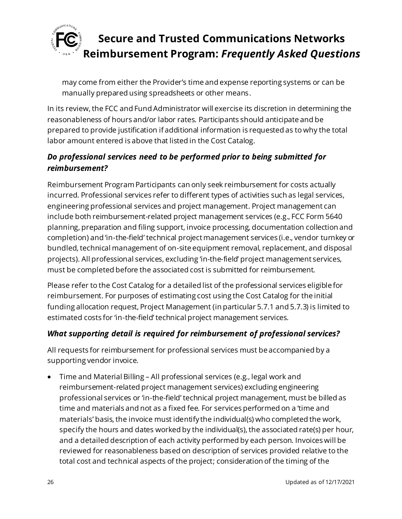

may come from either the Provider's time and expense reporting systems or can be manually prepared using spreadsheets or other means.

In its review, the FCC and Fund Administrator will exercise its discretion in determining the reasonableness of hours and/or labor rates. Participants should anticipate and be prepared to provide justification if additional information is requested as to why the total labor amount entered is above that listed in the Cost Catalog.

### *Do professional services need to be performed prior to being submitted for reimbursement?*

Reimbursement Program Participants can only seek reimbursement for costs actually incurred. Professional services refer to different types of activities such as legal services, engineering professional services and project management. Project management can include both reimbursement-related project management services (e.g., FCC Form 5640 planning, preparation and filing support, invoice processing, documentation collection and completion) and 'in-the-field' technical project management services (i.e., vendor turnkey or bundled, technical management of on-site equipment removal, replacement, and disposal projects). All professional services, excluding 'in-the-field' project management services, must be completed before the associated cost is submitted for reimbursement.

Please refer to the Cost Catalog for a detailed list of the professional services eligible for reimbursement. For purposes of estimating cost using the Cost Catalog for the initial funding allocation request, Project Management (in particular 5.7.1 and 5.7.3) is limited to estimated costs for 'in-the-field' technical project management services.

#### *What supporting detail is required for reimbursement of professional services?*

All requests for reimbursement for professional services must be accompanied by a supporting vendor invoice.

• Time and Material Billing – All professional services (e.g., legal work and reimbursement-related project management services) excluding engineering professional services or 'in-the-field' technical project management, must be billed as time and materials and not as a fixed fee. For services performed on a 'time and materials' basis, the invoice must identify the individual(s) who completed the work, specify the hours and dates worked by the individual(s), the associated rate(s) per hour, and a detailed description of each activity performed by each person. Invoices will be reviewed for reasonableness based on description of services provided relative to the total cost and technical aspects of the project; consideration of the timing of the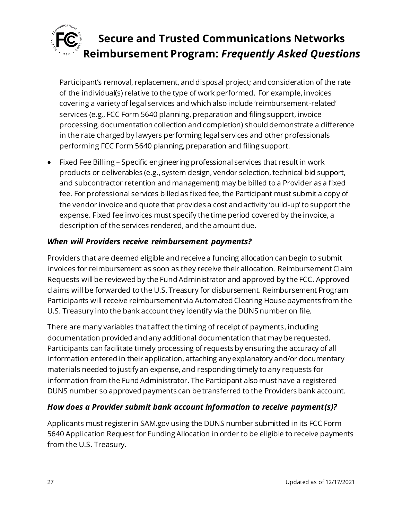

Participant's removal, replacement, and disposal project; and consideration of the rate of the individual(s) relative to the type of work performed. For example, invoices covering a variety of legal services and which also include 'reimbursement-related' services (e.g., FCC Form 5640 planning, preparation and filing support, invoice processing, documentation collection and completion) should demonstrate a difference in the rate charged by lawyers performing legal services and other professionals performing FCC Form 5640 planning, preparation and filing support.

• Fixed Fee Billing – Specific engineering professional services that result in work products or deliverables (e.g., system design, vendor selection, technical bid support, and subcontractor retention and management) may be billed to a Provider as a fixed fee. For professional services billed as fixed fee, the Participant must submit a copy of the vendor invoice and quote that provides a cost and activity 'build-up' to support the expense. Fixed fee invoices must specify the time period covered by the invoice, a description of the services rendered, and the amount due.

#### *When will Providers receive reimbursement payments?*

Providers that are deemed eligible and receive a funding allocation can begin to submit invoices for reimbursement as soon as they receive their allocation. Reimbursement Claim Requests will be reviewed by the Fund Administrator and approved by the FCC. Approved claims will be forwarded to the U.S. Treasury for disbursement. Reimbursement Program Participants will receive reimbursement via Automated Clearing House payments from the U.S. Treasury into the bank account they identify via the DUNS number on file.

There are many variables that affect the timing of receipt of payments, including documentation provided and any additional documentation that may be requested. Participants can facilitate timely processing of requests by ensuring the accuracy of all information entered in their application, attaching any explanatory and/or documentary materials needed to justify an expense, and responding timely to any requests for information from the Fund Administrator. The Participant also must have a registered DUNS number so approved payments can be transferred to the Providers bank account.

### *How does a Provider submit bank account information to receive payment(s)?*

Applicants must register in SAM.gov using the DUNS number submitted in its FCC Form 5640 Application Request for Funding Allocation in order to be eligible to receive payments from the U.S. Treasury.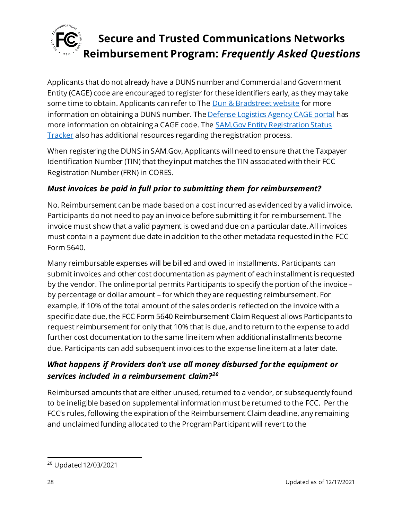

Applicants that do not already have a DUNS number and Commercial and Government Entity (CAGE) code are encouraged to register for these identifiers early, as they may take some time to obtain. Applicants can refer to Th[e Dun & Bradstreet website](https://fedgov.dnb.com/webform/) for more information on obtaining a DUNS number. Th[e Defense Logistics Agency CAGE portal](https://cage.dla.mil/) has more information on obtaining a CAGE code. Th[e SAM.Gov Entity Registration Status](https://sam.gov/content/status-tracker)  [Tracker](https://sam.gov/content/status-tracker) also has additional resources regarding the registration process.

When registering the DUNS in SAM.Gov, Applicants will need to ensure that the Taxpayer Identification Number (TIN) that they input matches the TIN associated with their FCC Registration Number (FRN) in CORES.

### *Must invoices be paid in full prior to submitting them for reimbursement?*

No. Reimbursement can be made based on a cost incurred as evidenced by a valid invoice. Participants do not need to pay an invoice before submitting it for reimbursement. The invoice must show that a valid payment is owed and due on a particular date. All invoices must contain a payment due date in addition to the other metadata requested in the FCC Form 5640.

Many reimbursable expenses will be billed and owed in installments. Participants can submit invoices and other cost documentation as payment of each installment is requested by the vendor. The online portal permits Participants to specify the portion of the invoice – by percentage or dollar amount – for which they are requesting reimbursement. For example, if 10% of the total amount of the sales order is reflected on the invoice with a specific date due, the FCC Form 5640 Reimbursement Claim Request allows Participants to request reimbursement for only that 10% that is due, and to return to the expense to add further cost documentation to the same line item when additional installments become due. Participants can add subsequent invoices to the expense line item at a later date.

### *What happens if Providers don't use all money disbursed for the equipment or services included in a reimbursement claim?<sup>20</sup>*

Reimbursed amounts that are either unused, returned to a vendor, or subsequently found to be ineligible based on supplemental information must be returned to the FCC. Per the FCC's rules, following the expiration of the Reimbursement Claim deadline, any remaining and unclaimed funding allocated to the Program Participant will revert to the

<sup>20</sup> Updated 12/03/2021